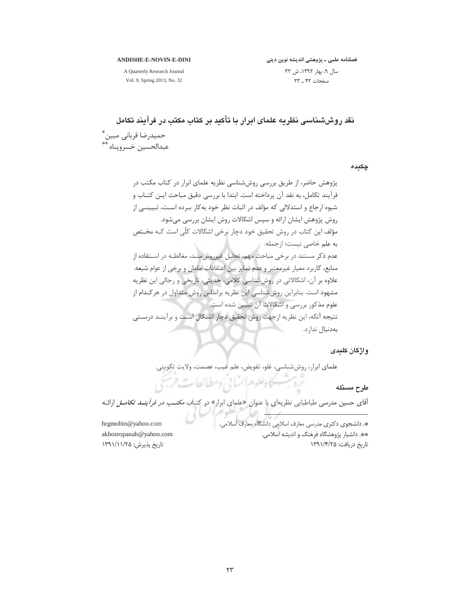#### **ANDISHE-E-NOVIN-E-DINI**

فصلنامه علمی ــ پژوهشی اندیشه نوین دینی سال ۹، بهار ۱۳۹۲، ش ۳۲ صفحات ۴۲ \_ ۲۳

A Quarterly Research Journal Vol. 9, Spring 2013, No. 32

نقد روششناسی نظریه علمای ابرار با تأکید بر کتاب مکتب در فرآیند تکامل حميدرضا قرباني مبين \* عبدالحسين خسرويناه \*\*

جكيده

پژوهش حاضر، از طریق بررسی روششناسی نظریه علمای ابرار در کتاب مکتب در فرآيند تكامل، به نقد آن پرداخته است. ابتدا با بررسی دقيق مباحث ايـن كتـاب و شیوه ارجاع و استدلالی که مؤلف در اثبات نظر خود بهکار بـرده اسـت، تبیینـی از روش پژوهش ایشان ارائه و سپس اشکالات روش ایشان بررسی میشود. مؤلف این کتاب در روش تحقیق خود دچار برخی اشکالات کلّی است کـه مخـتص به علم خاصی نیست؛ ازجمله: عدم ذکر مستند در برخی مباحث مهم، تحلیل غیرروش مند، مغالطـه در اسـتفاده از منابع، کاربرد معیار غیرمعتبر و عدم تمایز بین اعتقادات امامان و برخی از عوام شیعه. علاوه بر آن، اشکالاتی در روششناسی کلامی، حدیثی، تاریخی و رجالی این نظریه مشهود است. بنابراین روششناسی این نظریه براساس روش متداول در هرکـدام از علوم مذکور بررسی و اشکالات آن تبیین شده است. نتيجه آنكه، اين نظريه ازجهت روش تحقيق دچار اشـكال اسـت و برآينـد درسـتي بەدنبال ندارد.

واژگان کلیدی

علماي ابرار، روششناسي، غلو، تفويض، علم غيب، عصمت، ولايت تكويني.

طرح مسئله

آقای حسین مدرسی طباطبایی نظریهای با عنوان «علمای ابرار» در کتباب *مکتـب در فرآینــد تکامــل* ارائـه

تردبت كاهلوم انساني ومطالعات فرسمي

hrgmobin@yahoo.com akhosropanah@yahoo.com تاریخ پذیرش: ۱۳۹۱/۱۱/۲۵

\*. دانشجوی دکتری مدرسی معارف اسلامی دانشگاه معارف اسلامی. \*\*. دانشیار پژوهشگاه فرهنگ و اندیشه اسلامی. تاریخ دریافت: ۱۳۹۱/۴/۲۵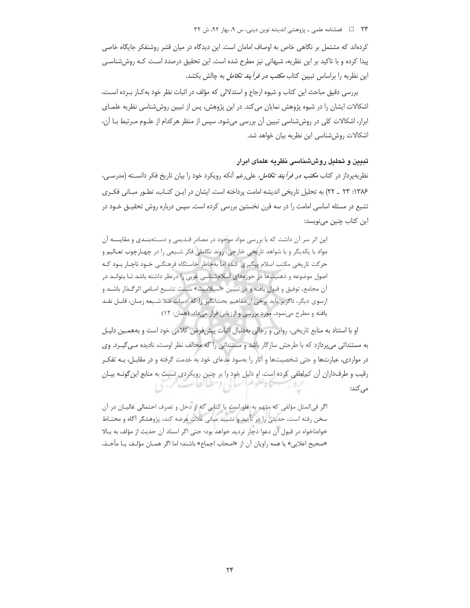٢۴ = د السلامه علمي ـ پژوهشي انديشه نوين ديني، س ٩، بهار ٩٢، ش ٣٢

کردهاند که مشتمل بر نگاهی خاص به اوصاف امامان است. این دیدگاه در میان قشر روشنفکر جایگاه خاصی پیدا کرده و با تاکید بر این نظریه، شبهاتی نیز مطرح شده است. این تحقیق درصدد است کـه روششناسـی این نظریه را براساس تبیین کتاب *مکتب در فرآیند تکامل* به چالش بکشد.

بررسی دقیق مباحث این کتاب و شیوه ارجاع و استدلالی که مؤلف در اثبات نظر خود به کـار بـرده اسـت، اشکالات ایشان را در شیوه پژوهش نمایان می کند. در این پژوهش، پس از تبیین روششناسی نظریه علمـای ابرار، اشکالات کلی در روششناسی تبیین آن بررسی میشود. سپس از منظر هرکدام از علـوم مـرتبط بـا آن، اشکالات روش شناسی این نظریه بیان خواهد شد.

# تبیین و تحلیل روششناسی نظریه علمای ایرار

نظریهپرداز در کتاب *مکتب در فرآیند تکامل*، علی رغم آنکه رویکرد خود را بیان تاریخ فکر دانســته (مدرســی، ۱۳۸۶: ۲۳ \_ ۲۲) به تحلیل تاریخی اندیشه امامت پرداخته است. ایشان در ایـن کتـاب، تطـور مبـانی فکـری تشیع در مسئله اساسی امامت را در سه قرن نخستین بررسی کرده است. سپس درباره روش تحقیــق خــود در این کتاب چنین مے نویسد:

این اثر سر آن داشت که با بررسی مواد مو<mark>جود در مصادر قـدیمی و دسـتهبنـدی و مقایســه</mark> آن مواد با یکدیگر و با شواهد تاریخی خارجی، روند تکاملی فکر شـیعی را در چهـارچوب تعـالیم و حرکت تاریخی مکتب اسلام پیگیری کند؛ اما بهخاطر خاستگاه فرهنگـی خـود ناچـار بـود کـه اصول موضوعه و ذهنیتها در حوزههای اسلامشناسی غربی را درنظر داشته باشد تـا بتوانـد در آن مجامع، توفيق و قبول يافته و در تبيين «اسـلاميت» سـنت تشـيع امـامي اثر گـذار باشـد و ازسوی دیگر، ناگزیر باید برخی از مفاهیم بحثانگیز را که ادبیات ضدّ شـیعه زمـان، قابـل نقـد یافته و مطرح مینمود، مورد بررسی و ارزیابی قرار میداد. (همان: ١٢)

او با استناد به منابع تاریخی، روایی و رجالی بهدنبال اثبات پیشفرض کلامی خود است و بههمـین دلیـل به مستنداتی میپردازد که با طرحش سازگار باشد و مستنداتی را که مخالف نظر اوست، نادیده میگیرد. وی در مواردی، عبارتها و حتی شخصیتها و آثار را بهسود مدعای خود به خدمت گرفته و در مقابـل، بـه تفکـر رقیب و طرفداران آن کملطفی کرده است. او دلیل خود را بر چنین رویکردی نسبت به منابع این گونـه بیـان فلوهرانسا بي رومطيانطا تت من می کند:

اگر في المثل مؤلفي كه متهم به غلو است يا كتابي كه از دخل و تصرف احتمالي غاليـان در آن سخن رفته است، حدیثی را در تأیید و تشیید مبانی غلات عرضه کند، پژوهشگر آگاه و محتـاط خوامناخواه در قبول آن دعوا دچار تردید خواهد بود؛ حتی اگر اسناد آن حدیث از مؤلف به بـالا «صحيح اعلايي» يا همه راويان آن از «اصحاب اجماع» باشند؛ اما اگر همــان مؤلـف يــا مأخـذ،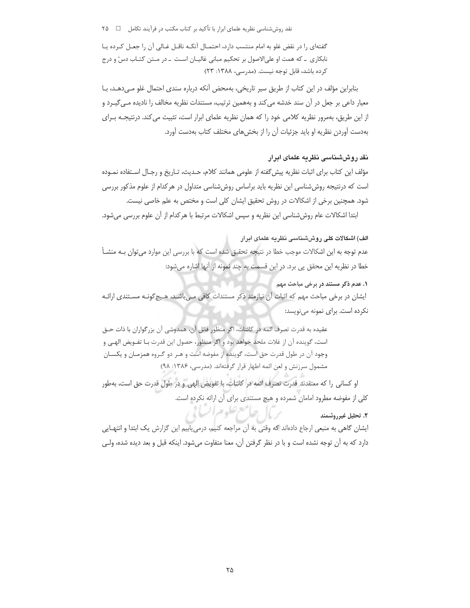نقد روششناسی نظریه علمای ابرار با تأکید بر کتاب مکتب در فرآیند تکامل \_ ۲۵ ۲۵

گفتهای را در نقض غلو به امام منتسب دارد، احتمـال آنکـه ناقـل غـالی آن را جعـل کـرده يـا نابکاری ۔ که همت او علیالاصول بر تحکیم مبانی غالیـان اسـت ۔ در مـتن کتـاب دسّ و درج کرده باشد، قابل توجه نیست. (مدرسی، ۱۳۸۸: ۲۳)

بنابراین مؤلف در این کتاب از طریق سیر تاریخی، بهمحض آنکه درباره سندی احتمال غلو مـیدهـد، بـا معیار داعی بر جعل در آن سند خدشه می کند و بههمین ترتیب، مستندات نظریه مخالف را نادیده مــ ،گیــرد و از این طریق، بهمرور نظریه کلامی خود را که همان نظریه علمای ابرار است، تثبیت می کند. درنتیجـه بـرای بهدست آوردن نظریه او باید جزئیات آن را از بخش های مختلف کتاب بهدست آورد.

# نقد روششناسی نظریه علمای ایران

مؤلف این کتاب برای اثبات نظریه پیش گفته از علومی همانند کلام، حـدیث، تـاریخ و رجـال اسـتفاده نمـوده است که درنتیجه روششناسی این نظریه باید براساس روششناسی متداول در هرکدام از علوم مذکور بررسی شود. همچنین برخی از اشکالات در روش تحقیق ایشان کلی است و مختص به علم خاصی نیست.

ابتدا اشکالات عام روششناسی این نظریه و سپس اشکالات مرتبط با هرکدام از آن علوم بررسی میشود.

الف) اشکالات کلی روششناسی نظریه علمای ابرار عدم توجه به این اشکالات موجب خطا در نتیجه تحقیق شده است که با بررسی این موارد میتوان بـه منشـأ خطا در نظریه این محقق یی برد. در این قسمت به چند نمونه از آنها اشاره می شود:

**۱. عدم ذکر مستند در برخی مباحث مهم** ایشان در برخی مباحث مهم که اثبات آن نیازمند ذکر مستندات کافی مـی!شـد، هـیچگونـه مسـتندی ارائـه نكرده است. براى نمونه مى نويسد:

عقيده به قدرت تصرف ائمه در كائنات، اگر منظور قائل آن، همدوشي آن بزرگواران با ذات حـق است، گوينده آن از غلات ملحد خواهد بود و اگر منظور، حصول اين قدرت بـا تفـويض الهـي و وجود آن در طول قدرت حق است، گوینده از مفوضه است و هـر دو گـروه همزمـان و یکسـان مشمول سرزنش و لعن ائمه اطهار قرار گرفتهاند. (مدرسی، ۱۳۸۶: ۹۸)

او كساني را كه معتقدند قدرت تصرف ائمه در كائنات، با تفويض الهي و در طول قدرت حق است، بهطور كلي از مفوضه مطرود امامان شمرده و هيچ مستندي براي آن ارائه نكرده است.

الصامع عليوم السالي

## 2. تحليل غيرروشمند

ایشان گاهی به منبعی ارجاع دادهاند که وقتی به آن مراجعه کنیم، درمی یابیم این گزارش یک ابتدا و انتهـایی دارد که به آن توجه نشده است و با در نظر گرفتن آن، معنا متفاوت میشود. اینکه قبل و بعد دیده شده، ولـی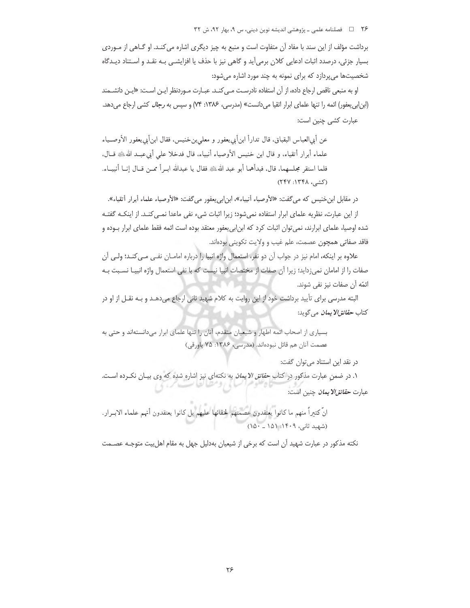٢۶ = 1 فصلنامه علمي ـ پژوهشي انديشه نوين ديني، س ٩، بهار ٩٢، ش ٣٢

برداشت مؤلف از این سند با مفاد آن متفاوت است و منبع به چیز دیگری اشاره می کنـد. او گــاهی از مـوردی بسیار جزئی، درصدد اثبات ادعایی کلان برمیآید و گاهی نیز با حذف یا افزایشـی بـه نقـد و اسـتناد دیـدگاه شخصیتها میپردازد که برای نمونه به چند مورد اشاره میشود:

او به منبعی ناقص ارجاع داده، از آن استفاده نادرست مـی کنــد. عبــارت مــوردنظر ایــن اســت: «ایــن دانشــمند (ابن ابی یعفور) ائمه را تنها علمای ابرار اتقیا میدانست» (مدرسی، ۱۳۸۶: ۷۴) و سپس به *رجال* کشی ارجاع میدهد. عبارت كشى چنين است:

عن أبي|لعباس البقباق، قال تدارأ ابنأبي يعفور و معلىبن خنيس، فقال ابنأبي يعفور الأوصـياء علماء أبرار أتقياء، و قال ابن خنيس الأوصياء أنبياء، قال فدخلا على أبيءبـد الله ﷺ قــال. فلما استقر مجلسهما، قال، فبدأهما أبو عبد اللهﷺ فقال يا عبدالله ابــرأ ممــن قــال إنـــا أنبيـــاء. (کشی، ۱۳۴۸: ۲۴۷)

در مقابل ابن خنيس كه مي گفت: «الأوصياء أنبياء»، ابن|بي يعفور مي گفت: «الأوصياء علماء أبرار أتقياء». از این عبارت، نظریه علمای ابرار استفاده نمی شود؛ زیرا اثبات شیء نفی ماعدا نمـی کنـد. از اینکـه گفتـه شده اوصیا، علمای ابرارند، نمی توان اثبات کرد که ابن|بی یعفور معتقد بوده است ائمه فقط علمای ابرار بـوده و فاقد صفاتي همچون عصمت، علم غيب و ولايت تكويني بودهاند.

علاوه بر اینکه، امام نیز در جواب آن دو نفر، استعمال واژه انبیا را درباره امامـان نفـی مـی کنـد؛ ولـی آن صفات را از امامان نمی;داید؛ زیرا آن صفات از مختصات انبیا نیست که با نفی استعمال واژه انبیـا نسـبت بـه ائمّه آن صفات نيز نفي شوند.

البته مدرسی برای تأیید برداشت خود از این روایت به کلام شهید ثانی ارجاع میدهـد و بـه نقـل از او در كتاب ح*قائقالا يمان* مي گويد:

بسیاری از اصحاب ائمه اطهار و شیعیان متقدم، آنان را تنها علمای ابرار میدانستهاند و حتی به عصمت آنان هم قائل نبودهاند. (مدرسی، ۱۳۸۶: ۷۵ پاورقی)

در نقد این استناد می توان گفت:

۱. در ضمنِ عبارت مذکور در کتاب *حقائق الایمان* به نکتهای نیز اشاره شده که وی بیـان نکـرده اسـت. عبارت *حقائق/لا يمان* چنين است:

انَّ كثيراً منهم ما كانوا يعتقدون عصمتهم لخفائها عليهم بل كانوا يعتقدون أنهم علماء الابــرار. (شهید ثانی، ۱۴۰۹: ۱۵۱ ــ ۱۵۰)

نکته مذکور در عبارت شهید آن است که برخی از شیعیان بهدلیل جهل به مقام اهل بیت متوجـه عصـمت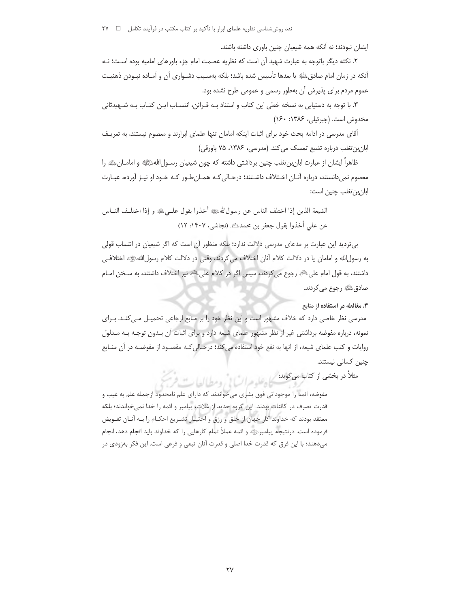ایشان نبودند؛ نه آنکه همه شیعیان چنین باوری داشته باشند.

٢. نكته ديگر باتوجه به عبارت شهيد آن است كه نظريه عصمت امام جزء باورهاى اماميه بوده است؛ نـه أنكه در زمان امام صادقﷺ يا بعدها تأسيس شده باشد؛ بلكه بهسـبب دشـواري آن و آمـاده نبـودن ذهنيـت عموم مردم برای پذیرش آن بهطور رسمی و عمومی طرح نشده بود.

۳. با توجه به دستیابی به نسخه خطی این کتاب و استناد بـه قـرائن، انتسـاب ایـن کتـاب بـه شـهیدثانی مخدوش است. (جبرئیلی، ۱۳۸۶: ۱۶۰)

آقای مدرسی در ادامه بحث خود برای اثبات اینکه امامان تنها علمای ابرارند و معصوم نیستند، به تعریـف ابانبن تغلب درباره تشیع تمسک می کند. (مدرسی، ۱۳۸۶، ۷۵ پاورقی)

ظاهراً ايشان از عبارت ابان بن تغلب چنين برداشتي داشته كه چون شيعيان رســول\للهﷺ و امامــان،ﷺ را معصوم نمی،دانستند، درباره آنـان اخـتلاف داشـتند؛ درحـالی کـه همـان طـور کـه خـود او نیـز آورده، عبـارت ابان،ن تغلب چنین است:

الشيعة الذين إذا اختلف الناس عن رسول\للهﷺ أخذوا بقول علـمي، ﴿ وَإِذَا اخْتِلْـفِ النَّــاس عن على أخذوا بقول جعفر بن محمدﷺ. (نجاشي، ١۴٠٧: ١٢)

بی تردید این عبارت بر مدعای مدرسی دلالت ندارد؛ بِلَکه منظور آن است که اگر شیعیان در انتساب قولی به رسولالله و امامان یا در دلالت کلام آنان اختلاف می کردند، وقتی در دلالت کلام رسول\للهﷺ اختلافی داشتند، به قول امام على ﷺ رجوع مي كردند، سپس اگر در كلام على ﷺ نيز اختلاف داشتند، به سـخن امــام صادقﷺ رجوع مي كردند.

۰۳ مغالطه در استفاده از منابع

مدرسی نظر خاصی دارد که خلاف مشهور است و این نظر خود را بر منابع ارجاعی تحمیـل مـی کنـد. بـرای نمونه، درباره مفوضه برداشتی غیر از نظر مشهور علمای شیعه دارد و برای اثبات آن بـدون توجـه بـه مـدلول روایات و کتب علمای شیعه، از آنها به نفع خود استفاده می کند؛ درحـالی کـه مقصـود از مفوضـه در آن منــابع چنین کسانی نیستند.

مثلاً در بخشی از کتابا می گوید: کیل علیہ عراب یا ، ومطیالها ت فرس

مفوضه، ائمه را موجوداتي فوق بشري مي خواندند كه داراي علم نامحدود ازجمله علم به غيب و قدرت تصرف در كائنات بودند. اين گروه جديد از غلات، پيامبر و ائمه را خدا نمي خواندند؛ بلكه معتقد بودند که خداوند کار جهان از خلق و رزق و اختیـار تشـریع احکـام را بـه آنـان تفـویض فرموده است. درنتیجه پیامبرﷺ و ائمه عملاً تمام کارهایی را که خداوند باید انجام دهد، انجام میدهند؛ با این فرق که قدرت خدا اصلی و قدرت آنان تبعی و فرعی است. این فکر بهزودی در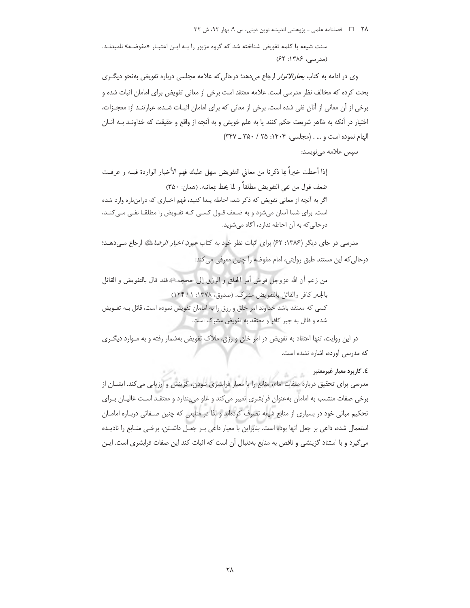٢٨ = فصلنامه علمي ـ پژوهشي انديشه نوين ديني، س ٩، بهار ٩٢، ش ٣٢

سنت شیعه با کلمه تفویض شناخته شد که گروه مزبور را بـه ایـن اعتبـار «مفوضـه» نامیدنـد. (مدرسی، ۱۳۸۶: ۶۲)

وی در ادامه به کتاب ب*حارالانوار* ارجاع میدهد؛ درحالی که علامه مجلسی درباره تفویض بهنحو دیگری بحث كرده كه مخالف نظر مدرسى است. علامه معتقد است برخى از معانى تفويض براى امامان اثبات شده و برخی از آن معانی از آنان نفی شده است. برخی از معانی که برای امامان اثبـات شـده، عبارتنـد از: معجـزات، اختیار در آنکه به ظاهر شریعت حکم کنند یا به علم خویش و به آنچه از واقع و حقیقت که خداونـد بـه آنـان الهام نموده است و ... . (مجلسى، ١٤٠٤: ٢٥ / ٣٥٠ \_ ٣٢٧)

## سپس علامه می نویسد:

إذا أحطت خبرًا بما ذكرنا من معاني التفويض سهل عليك فهم الأخبار الواردة فيــه و عرفــت ضعف قول من نفي التفويض مطلقاً و لما يحط بمعانيه. (همان: ٣۵٠) اگر به آنچه از معانی تفویض که ذکر شد، احاطه پیدا کنید، فهم اخباری که دراینباره وارد شده است، برای شما آسان میشود و به ضعف قـول کسـی کـه تفـویض را مطلقـا نفـی مـیکنـد، درحالي كه به آن احاطه ندارد، آگاه مي شويد.

مدرسی در جای دیگر (۱۳۸۶: ۶۲) برای اثبات نظر خود به کتاب *عیون اخبار الرضا* ﷺ ارجاع مـیدهـد؛ درحالي كه اين مستند طبق روايتي، امام مفوضه را چنين معرفي مي كند:

من زعم أن الله عزوجل فوض أمر الخلق و الرزق إلى حججه، ﷺ فقد قال بالتفويض و القائل بالجبر كافر والقائل بالتفويض مشرك. (صدوق، ١٣٧٨: ١ / ١٢۴) کسی که معتقد باشد خداوند امر خلق و رزق را به امامان تفویض نموده است، قائل بـه تفــویض شده و قائل به جبر کافر و معتقد به تفویض مشرک است.

در این روایت، تنها اعتقاد به تفویض در امر خلق و رزق، ملاک تفویض بهشمار رفته و به مـوارد دیگـری که مدرسی آورده، اشاره نشده است.

٤. کاربرد معيار غيرمعتبر

مدرسی برای تحقیق درباره صفات امام، منابع را با معیار فرابشری نبودن، گزینش و ارزیابی می کند. ایشــان از برخی صفات منتسب به امامان بهعنوان فرابشری تعبیر می کند و غلو می پندارد و معتقـد اسـت غالیـان بـرای تحکیم مبانی خود در بسیاری از منابع شیعه تصرف کردهاند و لذا در منابعی که چنین صـفاتی دربـاره امامــان استعمال شده، داعی بر جعل آنها بوده است. بنابراین با معیار داعی بـر جعـل داشـتن، برخـی منـابع را نادیـده می گیرد و با استناد گزینشی و ناقص به منابع بهدنبال آن است که اثبات کند این صفات فرابشری است. ایـن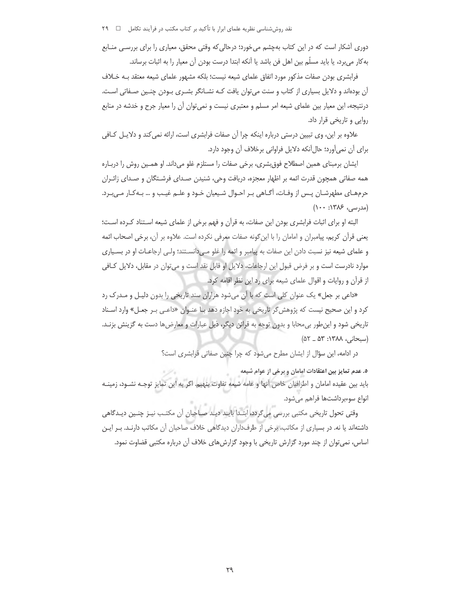دوری آشکار است که در این کتاب بهچشم می خورد؛ درحالی که وقتی محقق، معیاری را برای بررسـی منـابع به کار می,برد، یا باید مسلّم بین اهل فن باشد یا آنکه ابتدا درست بودن آن معیار را به اثبات برساند.

فرابشری بودن صفات مذکور مورد اتفاق علمای شیعه نیست؛ بلکه مشهور علمای شیعه معتقد بـه خـلاف آن بودهاند و دلایل بسیاری از کتاب و سنت می توان یافت کـه نشــانگر بشــری بــودن چنــین صــفاتی اســت. درنتیجه، این معیار بین علمای شیعه امر مسلم و معتبری نیست و نمی توان آن را معیار جرح و خدشه در منابع روایی و تاریخی قرار داد.

علاوه بر این، وی تبیین درستی درباره اینکه چرا آن صفات فرابشری است، ارائه نمی کند و دلایـل کـافی براي آن نمي آورد؛ حال آنكه دلايل فراواني برخلاف آن وجود دارد.

ایشان برمبنای همین اصطلاح فوق بشری، برخی صفات را مستلزم غلو میداند. او همـین روش را دربـاره همه صفاتی همچون قدرت ائمه بر اظهار معجزه، دریافت وحی، شنیدن صـدای فرشـتگان و صـدای زائـران حرمهـاي مطهرشـان پـس از وفـات، أگـاهي بـر احـوال شـيعيان خـود و علـم غيـب و … بـهكـار مـي.بـرد. (مدرسی، ۱۳۸۶: ۱۰۰)

البته او برای اثبات فرابشری بودن این صفات، به قرآن و فهم برخی از علمای شیعه استناد کـرده اسـت؛ يعني قرآن كريم، پيامبران و امامان را با اين گونه صفات معرفي نكرده است. علاوه بر آن، برخي اصحاب ائمه و علمای شیعه نیز نسبت دادن این صفات به پیامبر و ائمه را غلو می دانسـتند؛ ولـی ارجاعـات او در بسـیاری موارد نادرست است و بر فرض قبول این ارجاعات، دلایل او قابل نقد است و می توان در مقابل، دلایل کافی از قرآن و روایات و اقوال علمای شیعه برای رد این نظر اقامه کرد.

«داعی بر جعل» یک عنوان کلی است که با آن میشود هزاران سند تاریخی را بدون دلیل و مـدرک رد کرد و این صحیح نیست که پژوهش گر تاریخی به خود اجازه دهد بـا عنـوان «داعـی بـر جعـل» وارد اسـناد تاریخی شود و این طور بی محابا و بدون توجه به قرائن دیگر، ذیل عبارات و معارضها دست به گزینش بزنـد. (سبحانی، ۱۳۸۸: ۵۳ \_ ۵۲)

در ادامه، این سؤال از ایشان مطرح می شود که چرا چنین صفاتی فرابشری است؟

٥. عدم تمايز بين اعتقادات امامان و برخي از عوام شيعه بايد بين عقيده امامان و اطرافيان خاص آنها و عامه شيعه تفاوت بنهيم. اگر به اين تمايز توجـه نشــود، زمينــه انواع سوءبر داشتها فراهم مے شود.

وقتی تحول تاریخی مکتبی بررسی می گردد، ابتـدا بایـد دیـد صـاحبان آن مکتـب نیـز چنـین دیـدگاهی داشتهاند یا نه. در بسیاری از مکاتب، برخی از طرفداران دیدگاهی خلاف صاحبان آن مکاتب دارنـد. بـر ایـن اساس، نمی توان از چند مورد گزارش تاریخی با وجود گزارش های خلاف آن درباره مکتبی قضاوت نمود.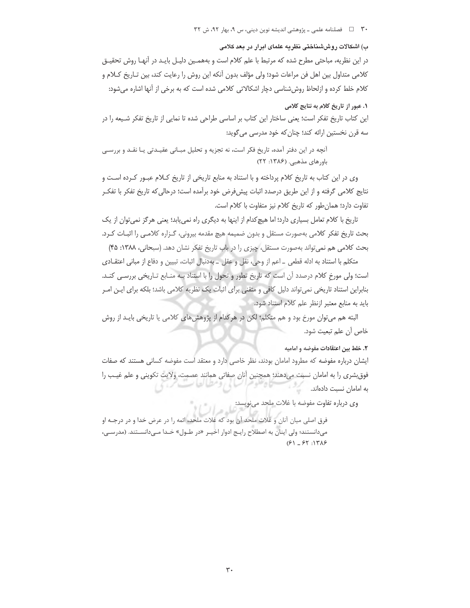#### ۳۰ = 1 فصلنامه علمی ـ پژوهشی اندیشه نوین دینی، س ۹، بهار ۹۲، ش ۳۲

#### ب) اشکالات روششناختی نظریه علمای ابرار در بعد کلامی

در این نظریه، مباحثی مطرح شده که مرتبط با علم کلام است و بههمـین دلیـل بایـد در آنهـا روش تحقیـق كلامي متداول بين اهل فن مراعات شود؛ ولي مؤلف بدون أنكه اين روش را رعايت كند، بين تـاريخ كـلام و کلام خلط کرده و ازلحاظ روششناسی دچار اشکالاتی کلامی شده است که به برخی از آنها اشاره میشود:

# ١. عبور از تاريخ كلام به نتايج كلامي

این کتاب تاریخ تفکر است؛ یعنی ساختار این کتاب بر اساسی طراحی شده تا نمایی از تاریخ تفکر شـیعه را در سه قرن نخستین ارائه کند؛ چنان که خود مدرسی می گوید:

آنچه در این دفتر آمده، تاریخ فکر است، نه تجزیه و تحلیل مبـانی عقیـدتی یـا نقـد و بررسـی باورهای مذهبی. (۱۳۸۶: ۲۲)

وی در این کتاب به تاریخ کلام پرداخته و با استناد به منابع تاریخی از تاریخ کـلام عبـور کـرده اسـت و نتايج كلامي گرفته و از اين طريق درصدد اثبات پيشفرض خود برآمده است؛ درحالي كه تاريخ تفكر با تفكـر تفاوت دارد؛ همان طور که تاریخ کلام نیز متفاوت با کلام است.

تاریخ با کلام تعامل بسیاری دارد؛ اما هیچ کدام از اینها به دیگری راه نمی یابد؛ یعنی هرگز نمی توان از یک بحث تاریخ تفکر کلامی بهصورت مستقل و بدون ضمیمه هیچ مقدمه بیرونی، گـزاره کلامـی را اثبــات کــرد. بحث كلامي هم نمي تواند بهصورت مستقل، چيزي را در باب تاريخ تفكر نشان دهد. (سبحاني، ١٣٨٨: ۴۵)

متكلم با استناد به ادله قطعي \_ اعم از وحي، نقل و عقل \_ بهدنبال اثبات، تبيين و دفاع از مباني اعتقـادي است؛ ولی مورخ کلام درصدد آن است که تاریخ تطور و تحول را با استناد بـه منـابع تـاریخی بررسـی کنـد. بنابراین استناد تاریخی نمی تواند دلیل کافی و متقنی برای اثبات یک نظریه کلامی باشد؛ بلکه برای ایـن امـر باید به منابع معتبر ازنظر علم کلام استناد شود.

البته هم می توان مورخ بود و هم متکلم؛ لکن در هر کدام از پژوهشهای کلامی یا تاریخی بایـد از روش خاص أن علم تبعيت شود.

#### ٢. خلط بين اعتقادات مفوضه و اماميه

ایشان درباره مفوضه که مطرود امامان بودند، نظر خاصی دارد و معتقد است مفوضه کسانی هستند که صفات فوق شری را به امامان نسبت می دهند؛ همچنین آنان صفاتی همانند عصمت، ولایت تکوینی و علم غیب را به امامان نسبت دادهاند.

وي درباره تفاوت مفوضه با غلات ملحد مي نويسد:

فرق اصلي ميان آنان و غلات ملحد آن بود كه غلات ملحد، ائمه را در عرض خدا و در درجـه او می دانستند؛ ولی اینان به اصطلاح رایج ادوار اخیـر «در طـول» خـدا مـی دانسـتند. (مدرسـی،  $(51 - 51)$ : 138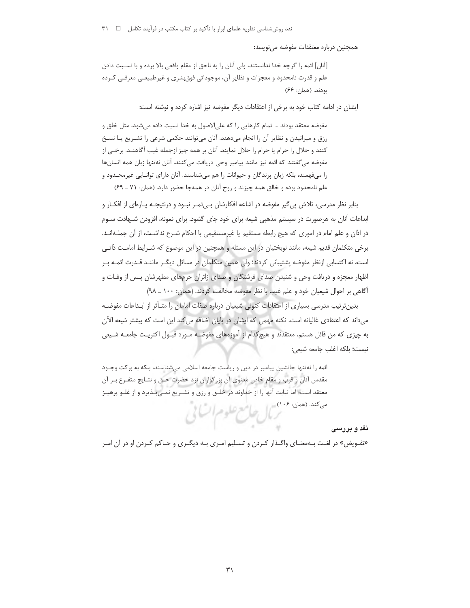همچنین درباره معتقدات مفوضه می نویسد:

[آنان] ائمه را گرچه خدا ندانستند، ولي آنان را به ناحق از مقام واقعي بالا برده و با نسـبت دادن علم و قدرت نامحدود و معجزات و نظایر آن، موجوداتی فوق شری و غیرطبیعـی معرفـی کـرده بودند. (همان: ۶۶)

ایشان در ادامه کتاب خود به برخی از اعتقادات دیگر مفوضه نیز اشاره کرده و نوشته است:

مفوضه معتقد بودند … تمام كارهايي را كه علىالاصول به خدا نسبت داده مى شود، مثل خلق و رزق و میرانیدن و نظایر آن را انجام میدهند. آنان میتوانند حکمی شرعی را تشـریع یـا نسـخ كنند و حلال را حرام يا حرام را حلال نمايند. آنان بر همه چيز ازجمله غيب آگاهنــد. برخــي از مفوضه مي گفتند كه ائمه نيز مانند پيامبر وحي دريافت مي كنند. آنان نهتنها زبان همه انسانها را میفهمند، بلکه زبان پرندگان و حیوانات را هم می شناسند. آنان دارای توانـایی غیرمحـدود و علم نامحدود بوده و خالق همه چیزند و روح آنان در همهجا حضور دارد. (همان: ۷۱ ـ ۶۹)

بنابر نظر مدرسی، تلاش پی گیر مفوضه در اشاعه افکارشان بـی ْمـر نبـود و درنتیجـه پـارهای از افکـار و ابداعات آنان به هرصورت در سیستم مذهبی شیعه برای خود جای گشود. برای نمونه، افزودن شـهادت سـوم در اذان و علم امام در اموری که هیچ رابطه مستقیم یا غیرمستقیمی با احکام شـرع نداشـت، از آن جملـهانـد. برخی متکلمان قدیم شیعه، مانند نوبختیان در این مسئله و همچنین در این موضوع که شـرایط امامـت ذاتـی است، نه اکتسابی ازنظر مفوضه پشتیبانی کردند؛ ولی همین متکلمان در مسائل دیگـر ماننـد قـدرت ائمـه بـر اظهار معجزه و دریافت وحی و شنیدن صدای فرشتگان و صدای زائران حرمهای مطهرشان پـس از وفـات و آگاهی بر احوال شیعیان خود و علم غیب با نظر مفوضه مخالفت کردند. (همان: ١٠٠ \_ ٩٨)

بدین ترتیب مدرسی بسیاری از اعتقادات کنونی شیعیان درباره صفات امامان را متـأثر از ابـداعات مفوضـه میداند که اعتقادی غالیانه است. نکته مهمی که ایشان در پایان اضافه می کند این است که بیشتر شیعه الآن به چیزی که من قائل هستم، معتقدند و هیچ کدام از آموزههای مفوضـه مـورد قبـول اکثریـت جامعـه شـیعی نيست؛ بلكه اغلب جامعه شيعي:

ائمه را نهتنها جانشین پیامبر در دین و ریاست جامعه اسلامی میشناسند، بلکه به برکت وجـود مقدس آنان و قرب و مقام خاص معنوي آن بزرگواران نزد حضرت حـق و نتـايج متفـرع بـر آن معتقد است؛ اما نيابت آنها را از خداوند در خلـق و رزق و تشـريع نمـي بـذيرد و از غلـو پرهيـز محتله هعلنا مهبى المنع علوم السائي

#### نقد و بررسی

«تفـویض» در لغـت بـهمعنـای واگـذار کـردن و تسـلیم امـری بـه دیگـری و حـاکم کـردن او در آن امـر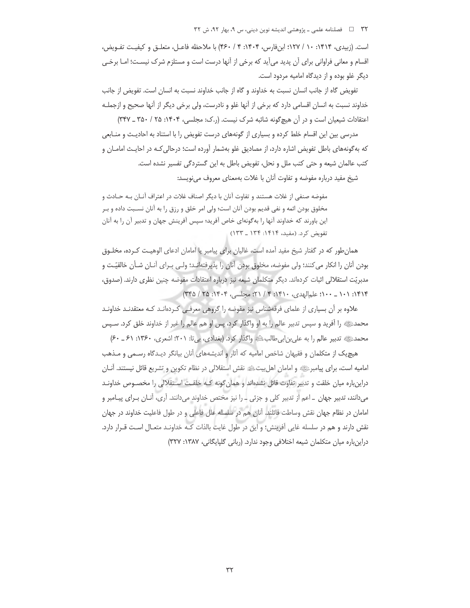#### ۳۲ فصلنامه علمی ـ پژوهشی اندیشه نوین دینی، س ۹، بهار ۹۲، ش ۳۲

است. (زبیدی، ۱۴۱۴: ۱۰ / ۱۲۷؛ ابنفارس، ۱۴۰۴: ۴ / ۴۶۰) با ملاحظه فاعـل، متعلـق و کیفیـت تفـویض، اقسام و معانی فراوانی برای آن پدید می[ید که برخی از آنها درست است و مستلزم شرک نیسـت؛ امــا برخـی دیگر غلو بوده و از دیدگاه امامیه مردود است.

تفويض گاه از جانب انسان نسبت به خداوند و گاه از جانب خداوند نسبت به انسان است. تفويض از جانب خداوند نسبت به انسان اقسامي دارد كه برخي از آنها غلو و نادرست، ولي برخي ديگر از آنها صحيح و ازجملـه اعتقادات شیعیان است و در آن هیچگونه شائبه شرک نیست. (ر.ک: مجلسی، ۱۴۰۴: ۲۵ / ۳۵۰ \_ ۳۴۷)

مدرسی بین این اقسام خلط کرده و بسیاری از گونههای درست تفویض را با استناد به احادیث و منـابعی که بهگونههای باطل تفویض اشاره دارد، از مصادیق غلو بهشمار آورده است؛ درحالی کـه در احایـث امامــان و کتب عالمان شیعه و حتی کتب ملل و نحل، تفویض باطل به این گستردگی تفسیر نشده است.

شیخ مفید درباره مفوضه و تفاوت آنان با غلات بهمعنای معروف می نویسد:

مفوضه صنفي از غلات هستند و تفاوت آنان با ديگر اصناف غلات در اعتراف آنــان بــه حــادث و مخلوق بودن ائمه و نفي قديم بودن آنان است؛ ولي امر خلق و رزق را به آنان نسـبت داده و بـر این باورند که خداوند آنها را بهگونهای خاص آفرید؛ سپس آفرینش جهان و تدبیر آن را به آنان تفويض كرد. (مفيد، ١۴١۴: ١٣۴ ـ ١٣٣)

همان طور که در گفتار شیخ مفید آمده است، غالیان برای پیامبر یا امامان ادعای الوهیـت کـرده، مخلـوق بودن آنان را انکار می کنند؛ ولی مفوضه، مخلوق بودن آنان را پذیرفتهانـد؛ ولـی بـرای آنـان شـأن خالقیّـت و مدبريّت استقلالي اثبات كردهاند. ديگر متكلمان شيعه نيز درباره اعتقادات مفوضه چنين نظري دارند. (صدوق، ١٣١۴: ١٠١ \_ ١٠٠؛ علم الهدى، ١٣١٠: ٣ / ٢١؛ مجلسى، ١٣٠٤: ٢٥ / ٣٣٥)

علاوه بر آن بسیاری از علمای فرقهشناس نیز مفوضه را گروهی معرفی کردهانـد کـه معتقدنـد خداونـد محمدﷺ را أفريد و سپس تدبير عالم را به او واگذار كرد، پس او هم عالم را غير از خداوند خلق كرد. سـپس محمدﷺ تدبیر عالم را به علی بن ابی طالبﷺ واگذار کرد. (بغدادی، بی تا: ۲۰۱؛ اشعری، ۱۳۶۰: ۶۱ ـ ۶۰)

هیچ یک از متکلمان و فقیهان شاخص امامیه که آثار و اندیشههای آنان بیانگر دیـدگاه رسـمی و مـذهب اماميه است، براي پيامبرﷺ و امامان اهلبيتﷺ نقش استقلالي در نظام تكوين و تشريع قائل نيستند. آنــان دراینباره میان خلقت و تدبیر تفاوت قائل نشدهاند و همان گونه کـه خلقـت اسـتقلالی را مخصـوص خداونـد میدانند، تدبیر جهان \_اعم از تدبیر کلی و جزئی \_ را نیز مختص خداوند میدانند. آری، آنـان بـرای پیـامبر و امامان در نظام جهان نقش وساطت قائلند. آنان هم در سلسله علل فاعلی و در طول فاعلیت خداوند در جهان نقش دارند و هم در سلسله غایی آفرینش؛ و این در طول غایت بالذات کـه خداونـد متعـال اسـت قـرار دارد. دراینباره میان متکلمان شیعه اختلافی وجود ندارد. (ربانی گلپایگانی، ۱۳۸۷: ۳۲۷)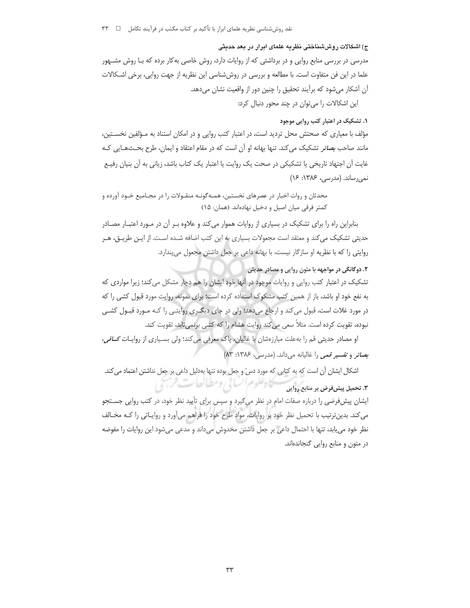### ج) اشکالات روششناختی نظریه علمای ابرار در بعد حدیثی

مدرسی در بررسی منابع روایی و در برداشتی که از روایات دارد، روش خاصی بهکار برده که بـا روش مشـهور علما در این فن متفاوت است. با مطالعه و بررسی در روششناسی این نظریه از جهت روایی، برخی اشـکالات آن آشکار میشود که برآیند تحقیق را چنین دور از واقعیت نشان میدهد.

این اشکالات را میتوان در چند محور دنبال کرد:

## ۰۱ تشکیک در اعتبار کتب روایی موجود

مؤلف با معیاری که صحتش محل تردید است، در اعتبار کتب روایی و در امکان استناد به مـؤلفین نخسـتین، مانند صاحب *بصائر* تشکیک می کند. تنها بهانه او آن است که در مقام اعتقاد و ایمان، طرح بحـثهـایی کـه غایت آن اجتهاد تاریخی یا تشکیکی در صحت یک روایت یا اعتبار یک کتاب باشد، زیانی به آن بنیان رفیـع نمیرساند. (مدرسی، ۱۳۸۶: ۱۶)

محدثان و روات اخبار در عصرهای نخستین، همـهگونـه منقـولات را در مجـامیع خـود آورده و كمتر فرقى ميان اصيل و دخيل نهادهاند. (همان: ١۵)

بنابراین راه را برای تشکیک در بسیاری از روایات هموار می کند و علاوه بـر آن در مـورد اعتبـار مصـادر حدیثی تشکیک می کند و معتقد است مجعولات بسیاری به این کتب اضافه شـده اسـت. از ایـن طریـق، هـر روایتی را که با نظریه او سازگار نیست، با بهانه داعی بر جعل داشتن مجعول می پندارد.

# ۲. دوگانگی در مواجهه با متون روایی و مصادر حدیثی

تشکیک در اعتبار کتب روایی و روایات موجود در آنها خود ایشان را هم دچار مشکل میکند؛ زیرا مواردی که به نفع خود او باشد، باز از همین کتب مشکوک استفاده کرده است؛ برای نمونه، روایت مورد قبول کشی را که در مورد غلات است، قبول می کند و ارجاع میدهد؛ ولی در جای دیگـری روایتـی را کـه مـورد قبـول کشـی نبوده، تقویت کرده است. مثلاً سعی می کند روایت هشام را که کشی برنمی تابد، تقویت کند.

او مصادر حدیثی قم را به علت مبارزهشان با غالیان، پاک معرفی می کند؛ ولی بسـیاری از روایـات *کــافی*، بصائر وتفسير قمى را غاليانه مى داند. (مدرسى، ١٣٨۶: ٨٣)

اشکال ایشان آن است که به کتابی که مورد دس ّ و جعل بوده تنها بهدلیل داعی بر جعل نداشتن اعتماد می کند. يحادعكوم الساني ومطالعات فرجي ۰۳. تحمیل پیش فرض بر منابع روایی

ایشان پیش فرضی را درباره صفات امام در نظر میگیرد و سپس برای تأیید نظر خود، در کتب روایی جسـتجو می کند. بدین ترتیب با تحمیل نظر خود بر روایات، مواد طرح خود را فراهم میآورد و روایـاتی را کـه مخـالف نظر خود می یابد، تنها با احتمال داعی بر جعل داشتن مخدوش میداند و مدعی میشود این روایات را مفوضه در متون و منابع روایی گنجاندهاند.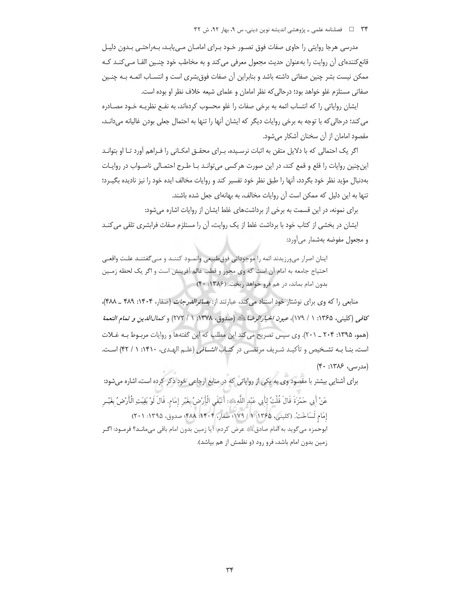#### ۳۴ = د السلامه علمي ـ پژوهشي انديشه نوين ديني، س ۹، بهار ۹۲، ش ۳۲

مدرسی هرجا روایتی را حاوی صفات فوق تصـور خـود بـرای امامـان مـی!بـد، بـەراحتـی بـدون دلیـل قانع کنندهای آن روایت را بهعنوان حدیث مجعول معرفی می کند و به مخاطب خود چنـین القــا مــی کنــد کــه ممكن نيست بشر چنين صفاتي داشته باشد و بنابراين آن صفات فوق.شرى است و انتسـاب ائمـه بـه چنـين صفاتی مستلزم غلو خواهد بود؛ درحالی که نظر امامان و علمای شیعه خلاف نظر او بوده است.

ایشان روایاتی را که انتساب ائمه به برخی صفات را غلو محسوب کردهاند، به نفـع نظریـه خـود مصـادره می کند؛ درحالی که با توجه به برخی روایات دیگر که ایشان آنها را تنها به احتمال جعلی بودن غالیانه می دانـد، مقصود امامان از آن سخنان آشکار میشود.

اگر یک احتمالی که با دلایل متقن به اثبات نرسیده، بـرای محقـق امکـانی را فـراهم آورد تـا او بتوانـد اینچنین روایات را قلع و قمع کند، در این صورت هرکسی میتوانـد بـا طـرح احتمـالی ناصـواب در روایـات بهدنبال مؤيد نظر خود بگردد، أنها را طبق نظر خود تفسير كند و روايات مخالف ايده خود را نيز ناديده بگيــرد؛ تنها به این دلیل که ممکن است آن روایات مخالف، به بهانهای جعل شده باشند.

برای نمونه، در این قسمت به برخی از برداشتهای غلط ایشان از روایات اشاره میشود:

ایشان در بخشی از کتاب خود با برداشت غلط از یک روایت، آن را مستلزم صفات فرابشری تلقی می کنـد و مجعول مفوضه بهشمار می آورد:

اينان اصرار مى ورزيدند ائمه را موجوداتى فوق طبيعى وانمــود كننــد و مــى گفتنــد علــت واقعــى احتياج جامعه به امام آن است كه وي محور و قطب عالم آفرينش است و اگر يک لحظه زمـين بدون امام بماند، در هم فرو خواهد ريخت. (١٣٨۶: ۴٠)

منابعی را که وی برای نوشتار خود استناد می کند، عبارتند از: *بصائر الدرجات* (صفار، ۱۴۰۴: ۴۸۹ \_ ۴۸۸)، كافي (كليني، ١٣۶۵: ١ / ١٧٩)، عي*ون اخبارالرضا*ء!ﷺ (صدوق، ١٣٧٨: ١ / ٢٧٢) و *كمال الدين و* تم*ام النعمة* (همو، ۱۳۹۵: ۲۰۴ \_ ۲۰۱). وي سيس تصريح مي كند اين مطلب كه اين گفتهها و روايات مربـوط بـه غـلات است، بنـا بـه تشـخيص و تأكيـد شـريف مرتضـى در كتـاب *الشــافى* (علـم الهـدى، ١۴١٠: ١ / ۴۲) اسـت. (مدرسی، ۱۳۸۶: ۴۰)

برای آشنایی بیشتر با مقصود وی به یکی از روایاتی که در منابع ارجاعی خود ذکر کرده است، اشاره میشود: عَنْ أَبِي حَمْزَةَ قَالَ قُلْتُ لِأَبِي عَبْدِ اللَّهِ ۞ أَتَبْقَى الْأَرْضُ بِغَيْرِ إِمَامٍ. قَالَ لَوْ بَقِيَتِ الْأَرْضُ بِغَيْـرِ إمَام لَسَاخَتْ. (كليني، ١٣۶۵: ١/ ١٧٩؛ صفار، ١٣٠٤: ٣٨٨؛ صدوق، ١٣٩۵: ٢٠١) ابوحمزه مي گويد به امام صادق، ﷺ عرض كردم: أيا زمين بدون امام باقي ميمانـد؟ فرمــود: اگــر زمین بدون امام باشد، فرو رود (و نظمش از هم بپاشد).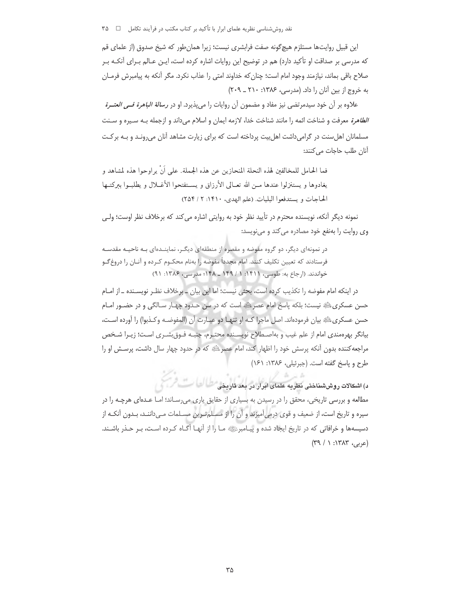این قبیل روایتها مستلزم هیچگونه صفت فرابشری نیست؛ زیرا همان طور که شیخ صدوق (از علمای قم که مدرسی بر صداقت او تأکید دارد) هم در توضیح این روایات اشاره کرده است، ایـن عـالم بـرای آنکـه بـر صلاح باقی بماند، نیازمند وجود امام است؛ چنان که خداوند امتی را عذاب نکرد. مگر آنکه به پیامبرش فرمـان به خروج از بین آنان را داد. (مدرسی، ۱۳۸۶: ۲۱۰ ـ ۲۰۹)

علاوه بر آن خود سیدمرتضی نیز مفاد و مضمون آن روایات را میٍپذیرد. او در *رسالة الباهرة فــی العتــرة* الطاهرة معرفت و شناخت ائمه را مانند شناخت خدا، لازمه ايمان و اسلام مي داند و ازجمله بـه سـيره و سـنت مسلمانان اهل سنت در گرامی داشت اهل بیت پرداخته است که برای زیارت مشاهد آنان می رونـد و بـه برکـت آنان طلب حاجات می کنند:

فما الحامل للمخالفين لهذه النحلة المنحازين عن هذه الجملة. على أنَّ يراوحوا هذه لمشاهد و يغادوها و يستنزلوا عندها مــن الله تعــالي الأرزاق و يســتفتحوا الأغــلال و يطلبــوا ببركتــها الحاجات ويستدفعوا البليات. (علم الهدى، ١۴١٠: ٢ / ٢٥۴)

نمونه دیگر آنکه، نویسنده محترم در تأیید نظر خود به روایتی اشاره می کند که برخلاف نظر اوست؛ ولـی وی روایت را بهنفع خود مصادره می کند و مینویسد:

در نمونهای دیگر، دو گروه مفوضه و مقصره از منطقهای دیگـر، نماینــدهای بـه ناحیـه مقدسـه فرستادند که تعیین تکلیف کنند. امام مجدداً مفوضه را بهنام محکـوم کـرده و آنــان را دروغ ًــو خواندند. (ارجاع به: طوسى، ١۴١١: ١ / ١۴٩ ـ ١۴٨؛ مدرسى، ١٣٨۶: ٩١)

در اینکه امام مفوضه را تکذیب کرده است، بحثی نیست؛ اما این بیان \_ برخلاف نظـر نویسـنده \_ از امـام حسن عسکریﷺ نیست؛ بلکه پاسخ امام عصرﷺ است که در سن حـدود چهـار سـالگی و در حضـور امـام حسن عسكريﷺ بيان فرمودهاند. اصل ماجرا كـه او تنهـا دو عبـارت آن (المفوضـه وكـذبوا) را آورده اسـت، بيانگر بهرهمندي امام از علم غيب و بهاصـطلاح نويسـنده محتـرم، جنبـه فـوق.شـرى اسـت؛ زيـرا شـخص مراجعه کننده بدون آنکه پرسش خود را اظهار کند، امام عصرﷺ که در حدود چهار سال داشت، پرسـش او را طرح و ياسخ گفته است. (جبرئيلي، ۱۳۸۶: ۱۶۱)

د) اشکالات روش،شناختی نظریه علمای ابرار در بعد تاریخی طراک است. اثر مطالعه و بررسی تاریخی، محقق را در رسیدن به بسیاری از حقایق یاری میرسـاند؛ امـا عـدهای هرچـه را در سیره و تاریخ است، از ضعیف و قوی درمیآمیزند و آن را از مسلم تـرین مسـلمات مـیداننـد، بـدون آنکـه از دسیسهها و خرافاتی که در تاریخ ایجاد شده و پیـامبرﷺ مـا را از آنهـا آگـاه کـرده اسـت، بـر حـذر باشـند.  $(49 / 1.1747)$  (عربی)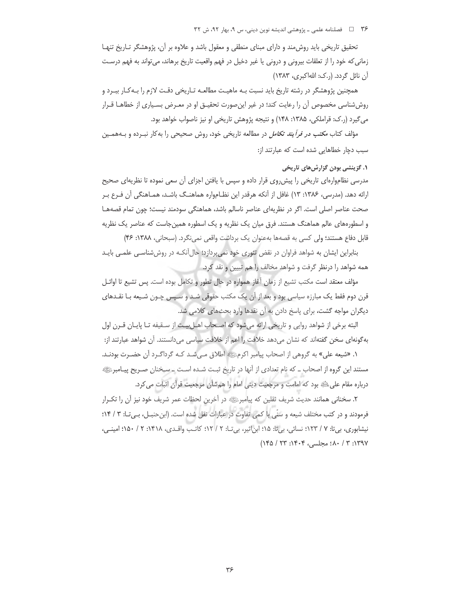تحقیق تاریخی باید روش مند و دارای مبنای منطقی و معقول باشد و علاوه بر آن، پژوهشگر تـاریخ تنهـا زمانی که خود را از تعلقات بیرونی و درونی یا غیر دخیل در فهم واقعیت تاریخ برهاند، می تواند به فهم درست آن نائل گردد. (ر.ک: اللهاکبری، ۱۳۸۳)

همچنین پژوهشگر در رشته تاریخ باید نسبت بـه ماهیـت مطالعـه تـاریخی دقـت لازم را بـهکـار ببـرد و روش شناسی مخصوص آن را رعایت کند؛ در غیر این صورت تحقیـق او در معـرض بسـیاری از خطاهـا قـرار می گیرد (ر.ک: قراملکی، ۱۳۸۵: ۱۴۸) و نتیجه پژوهش تاریخی او نیز ناصواب خواهد بود.

مؤلف کتاب *مکتب در فرآیند تکامل* در مطالعه تاریخی خود، روش صحیحی را بهکار نبـرده و بـههمـین سبب دچار خطاهایی شده است که عبارتند از:

# ۰۱ گزینشی بودن گزارش های تاریخی

مدرسی نظاموارهای تاریخی را پیش روی قرار داده و سپس با یافتن اجزای آن سعی نموده تا نظریهای صحیح ارائه دهد. (مدرسی، ۱۳۸۶: ۱۳) غافل از آنکه هرقدر این نظـامواره هماهنـگ باشـد، همـاهنگی آن فـرع بـر صحت عناصر اصلی است. اگر در نظریهای عناصر ناسالم باشد، هماهنگی سودمند نیست؛ چون تمام قصههـا و اسطورههای عالم هماهنگ هستند. فرق میان یک نظریه و یک اسطوره همینجاست که عناصر یک نظریه قابل دفاع هستند؛ ولي كسي به قصهها بهعنوان يك برداشت واقعي نمي نگرد. (سبحاني، ١٣٨٨: ۴۶)

بنابراین ایشان به شواهد فراوان در نقض تئوری خود نمی پردازد؛ حال آنکـه در روششناسـی علمـی بایـد همه شواهد را درنظر گرفت و شواهد مخالف را هم تبیین و نقد کرد.

مؤلف معتقد است مكتب تشيع از زمان أغاز همواره در حال تطور و تكامل بوده است. پس تشيع تا اوائـل قرن دوم فقط یک مبارزه سیاسی بود و بعد از آن یک مکتب حقوقی شـد و سـپس چـون شـیعه بـا نقـدهای دیگران مواجه گشت، برای پاسخ دادن به آن نقدها وارد بحثهای کلامی شد.

البته برخی از شواهد روایی و تاریخی ارائه میشود که اصـحاب اهـل بیـت از سـقیفه تـا پایـان قـرن اول بهگونهای سخن گفتهاند که نشان میدهد خلافت را اعم از خلافت سیاسی میدانستند. آن شواهد عبارتند از:

۱. «شیعه علی» به گروهی از اصحاب پیامبر اکرمﷺ اطلاق مـیشـد کـه گرداگـرد آن حضـرت بودنـد. مستند این گروه از اصحاب ــ که نام تعدادی از آنها در تاریخ ثبـت شـده اسـت ــ سـخنان صـریح پیـامبرﷺ درباره مقام علی ﷺ بود که امامت و مرجعیت دینی امام را همشأن مرجعیت قرآن اثبات می کرد.

٢. سخناني همانند حديث شريف ثقلين كه يبامبرﷺ در آخرين لحظات عمر شريف خود نيز آن را تكـرار فرمودند و در کتب مختلف شیعه و سُنّی با کمی تفاوت در عبارات نقل شده است. (ابن حنبـل، بـی تـا: ۳ / ۱۴؛ نیشابوری، بی تا: ۷ / ۱۲۳؛ نسائی، بی تا: ۱۵؛ ابن اثیر، بی تـا: ۲ / ۱۲؛ کاتـب واقـدی، ۱۴۱۸: ۲ / ۱۵۰؛ امینـی، ١٣٩٧: ٣ / ٨٠؛ مجلسي، ١٤٠۴: ٢٣: ١٤٥)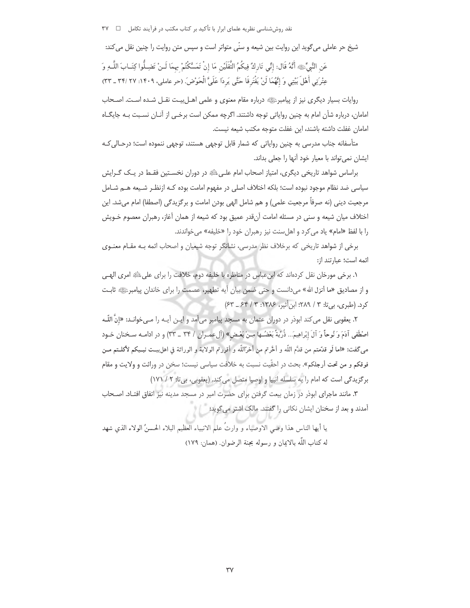نقد ,وش شناسی نظریه علمای ابرار با تأکید بر کتاب مکتب در فرآیند تکامل □ ۳۷

شيخ حر عاملي مي گويد اين روايت بين شيعه و سنّي متواتر است و سپس متن روايت را چنين نقل مي كند: عَنِ النَّبِيِّ ﴾ أَنَّهُ قَال: إنِّي تَارِكٌ فِيكُمُ الثَّقَلَيْنِ مَا إِنْ تَمَسَّكْتُمْ بِهِمَا لَـنْ تَضِـلُّوا كِتَـابَ اللَّــهِ وَ عِتْرَتِي أَهْلَ بَيْتِي وَ إِنَّهُمَا لَنْ يَفْتَرِقَا حَتَّى يَرِدَا عَلَىَّ الْحَوْضَ. (حر عاملي، ١۴٠٩: ٢٧ ـ ٣٣)

روايات بسيار ديگرى نيز از پيامبرﷺ درباره مقام معنوى و علمى اهـلبيـت نقـل شـده اسـت. اصـحاب امامان، درباره شأن امام به چنین روایاتی توجه داشتند. اگرچه ممکن است برخی از آنـان نسـبت بـه جایگـاه امامان غفلت داشته باشند، این غفلت متوجه مكتب شیعه نیست.

متأسفانه جناب مدرسی به چنین روایاتی که شمار قابل توجهی هستند، توجهی ننموده است؛ درحـالی کـه ایشان نمی تواند با معیار خود آنها را جعلی بداند.

براساس شواهد تاریخی دیگری، امتیاز اصحاب امام علـیﷺ در دوران نخسـتین فقـط در یـک گـرایش سیاسی ضد نظام موجود نبوده است؛ بلکه اختلاف اصلی در مفهوم امامت بوده کـه ازنظـر شـیعه هــم شــامل مرجعيت ديني (نه صرفاً مرجعيت علمي) و هم شامل الهي بودن امامت و برگزيدگي (اصطفا) امام ميشد. اين اختلاف میان شیعه و سنی در مسئله امامت آنقدر عمیق بود که شیعه از همان آغاز، رهبران معصوم خـویش را با لفظ «امام» یاد می کرد و اهل سنت نیز رهبران خود را «خلیفه» می خواندند.

برخی از شواهد تاریخی که برخلاف نظر مدرسی، نشانگر توجه شیعیان و اصحاب ائمه بـه مقـام معنـوی ائمه است؛ عبارتند از:

١. برخي مورخان نقل كردهاند كه ابن عباس در مناظره با خليفه دوم، خلافت را براي على ﷺ امرى الهـي و از مصادیق «ما أنزل الله» میدانست و حتی ضمن بیان آیه تطهیر، عصمت را برای خاندان پیامبرﷺ ثابت کرد. (طبری، بی تا: ۳ / ۲۸۹؛ ابن أثیر، ۱۳۸۶: ۳ / ۶۴ \_ ۶۳)

۲. يعقوبي نقل مي كند ابوذر در دوران عثمان به مسجد پيامبر مي[مد و ايـن آيـه را مـي خوانـد: «إنّ اللّـه اصْطَفِي آدَمَ وَ نُوحاً وَ آلَ إِبْراهِيمَ... ذُرِّيَّةً بَعْضُـها مِـنْ بَعْـض» (ألءمـران / ٣٣ \_ ٣٣) و در ادامـه سـخنان خـود مى6لفت: «اما لَو قدَّمتم من قدَّم اللَّه و أخَّرتم من أخرَّاللّه و أقررتم الولاية و الوراثة في اهلبيـت نبـيكم لأكلــتم مــن فوقكم و من تحت أرجلكم». بحث در احقّيت نسبت به خلافت سياسي نيست؛ سخن در وراثت و ولايت و مقام بركزيدگي است كه امام را به سلسله انبيا و اوصيا متصل مي كند. (يعقوبي، بي تا: ٢ / ١٧١)

٣. مانند ماجراى ابوذر در زمان بيعت گرفتن براى حضرت امير در مسجد مدينه نيز اتفاق افتـاد. اصـحاب آمدند و بعد از سخنان ایشان نکات<sub>ی ر</sub>ا گفتند. مالک اشتر میگوید:

يا أيها الناس هذا وصى الاوصياء و وارثٌ علم الانبياء العظيم البلاء الحسنُ الولاء الذي شهد له كتاب اللَّه بالايمان و رسوله بجنة الرضوان. (همان: ١٧٩)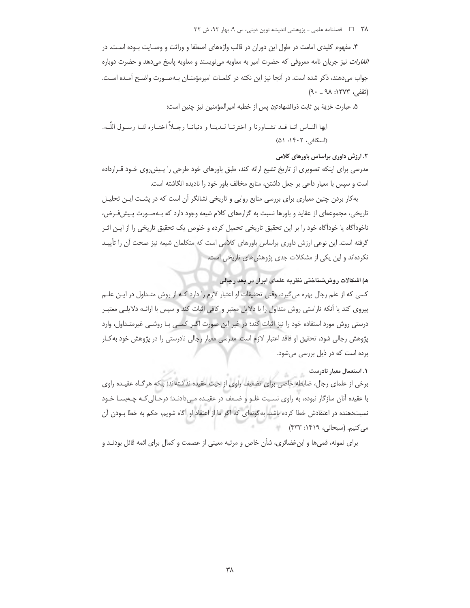٣٨ = فصلنامه علمي ـ پژوهشي انديشه نوين ديني، س ٩، بهار ٩٢، ش ٣٢

۴. مفهوم کلیدی امامت در طول این دوران در قالب واژههای اصطفا و وراثت و وصـایت بـوده اسـت. در *الغارات* نیز جریان نامه معروفی که حضرت امیر به معاویه می نویسند و معاویه پاسخ می دهد و حضرت دوباره جواب میدهند، ذکر شده است. در آنجا نیز این نکته در کلمـات امیرمؤمنـان بـهصـورت واضـح آمـده اسـت. (ثقفي، ١٣٧٣: ٩٠ \_ ٩٠)

۵. عبارت خزيمة بن ثابت ذوالشهادتين پس از خطبه اميرالمؤمنين نيز چنين است:

ايها النــاس انــا قــد تشــاورنا و اخترنــا لــديننا و دنيانــا رجــلاً اختــاره لنــا رســول اللّــه. (اسكافى، ١۴٠٢: ۵١)

# ۲. ارزش داوری براساس باورهای کلامی

مدرسی برای اینکه تصویری از تاریخ تشیع ارائه کند، طبق باورهای خود طرحی را پـیش٫روی خـود قـرارداده است و سپس با معیار داعی بر جعل داشتن، منابع مخالف باور خود را نادیده انگاشته است.

به کار بردن چنین معیاری برای بررسی منابع روایی و تاریخی نشانگر آن است که در پشـت ایـن تحلیـل تاریخی، مجموعهای از عقاید و باورها نسبت به گزارههای کلام شیعه وجود دارد که بـهصـورت پـیشفـرض، ناخوداًگاه یا خوداًگاه خود را بر این تحقیق تاریخی تحمیل کرده و خلوص یک تحقیق تاریخی را از ایـن اثـر گرفته است. این نوعی ارزش داوری براساس باورهای کلامی است که متکلمان شیعه نیز صحت آن را تأییـد نکردهاند و این یکی از مشکلات جدی پژوهش های تاریخی است.

ه) اشکالات روششناختی نظریه علمای ابرار در بعد رجالی

کسی که از علم رجال بهره میگیرد، وقتی تحقیقات او اعتبار لازم را دارد کـه از روش متـداول در ایـن علـم پیروی کند یا آنکه ناراستی روش متداول را با دلایل معتبر و کافی اثبات کند و سپس با ارائـه دلایلـی معتبـر درستی روش مورد استفاده خود را نیز اثبات کند؛ در غیر این صورت اگـر کسـی بـا روشـی غیرمتـداول، وارد پژوهش رجالی شود، تحقیق او فاقد اعتبار لازم است. مدرسی معیار رجالی نادرستی را در پژوهش خود به کـار برده است که در ذیل بررسی میشود.

## ۱. استعمال معیار نادرست

برخی از علمای رجال، ضابطه خاصی برای تضعیف راوی از حیث عقیده نداشتهاند؛ بلکه هرگاه عقیده راوی با عقیده آنان سازگار نبوده، به راوی نسـبت غلـو و ضـعف در عقیـده مـی‹ادنـد؛ درحـالی کـه چـهبســا خـود نسبتدهنده در اعتقادش خطا کرده باشد، به گونهای که اگر ما از اعتقاد او آگاه شویم، حکم به خطا بـودن آن مي كنيم. (سبحاني، ١۴١٩: ۴۳۳)

برای نمونه، قمی ها و ابن غضائری، شأن خاص و مرتبه معینی از عصمت و کمال برای ائمه قائل بودنـد و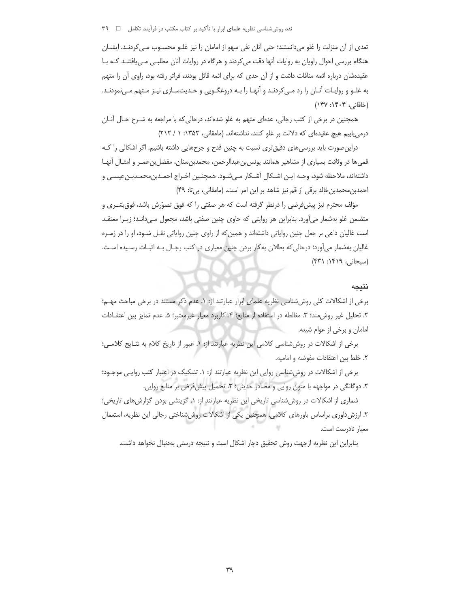نقد روششناسی نظریه علمای ابرار با تأکید بر کتاب مکتب در فرآیند تکامل \_ ٣٩

تعدي از آن منزلت را غلو مي دانستند؛ حتى آنان نفي سهو از امامان را نيز غلـو محسـوب مـي كردنـد. ايشــان هنگام بررسی احوال راویان به روایات آنها دقت می کردند و هرگاه در روایات آنان مطلبـی مـی یافتنـد کـه بـا عقیدهشان درباره ائمه منافات داشت و از آن حدی که برای ائمه قائل بودند، فراتر رفته بود، راوی آن را متهم به غلـو و روايـات آنـان را رد مـى كردنـد و آنهـا را بـه دروغگـويى و حـديثسـازى نيـز مـتهم مـىنمودنـد. (خاقانی، ۱۴۰۴: ۱۴۷)

همچنین در برخی از کتب رجالی، عدهای متهم به غلو شدهاند، درحالی که با مراجعه به شـرح حـال آنــان درمی یابیم هیچ عقیدهای که دلالت بر غلو کنند، نداشتهاند. (مامقانی، ۱۳۵۲: ۱ / ۲۱۲)

دراین صورت باید بررسی های دقیق تری نسبت به چنین قدح و جرحهایی داشته باشیم. اگر اشکالی را کـه قمیها در وثاقت بسیاری از مشاهیر همانند یونس بنءبدالرحمن، محمدبنِسنان، مفضل بنءمـر و امثـال أنهـا داشتهاند، ملاحظه شود، وجـه ايــن اشــكال أشـكار مــىشـود. همچنــين اخــراج احمــدبن،محمــدبــنءيســى و احمدبن محمدبن خالد برقی از قم نیز شاهد بر این امر است. (مامقانی، بی تا: ۴۹)

مؤلف محترم نیز پیشفرضی را درنظر گرفته است که هر صفتی را که فوق تصوّرش باشد، فوق بشـری و متضمن غلو بهشمار میأورد. بنابراین هر روایتی که حاوی چنین صفتی باشد، مجعول مـیدانـد؛ زیــرا معتقــد است غالیان داعی بر جعل چنین روایاتی داشتهاند و همین که از راوی چنین روایاتی نقـل شـود، او را در زمـره غالیان بهشمار می[ورد؛ درحالی که بطلان به کار بردن چنین معیاری در کتب رجـال بـه اثبــات رسـیده اسـت. (سبحانی، ۱۴۱۹: ۴۳۱)

#### نتيجه

برخی از اشکالات کلی روششناسی نظریه علمای ابرار عبارتند از: ۱. عدم ذکر مستند در برخی مباحث مهـم؛ ۲. تحلیل غیر روش مند؛ ۳. مغالطه در استفاده از منابع؛ ۴. کاربرد معیار غیرمعتبر؛ ۵. عدم تمایز بین اعتقــادات امامان وبرخی از عوام شیعه.

برخی از اشکالات در روش شناسی کلامی این نظریه عبارتند از: ۱. عبور از تاریخ کلام به نتـایج کلامـی؛ ٢. خلط بين اعتقادات مفوضه و اماميه.

برخی از اشکالات در روش شناسی روایی این نظریه عبارتند از: ۱. تشکیک در اعتبار کتب روایـی موجـود؛ ۲. دوگانگی در مواجهه با متون روایی و مصادر حدیثی؛ ۳. تحمیل پیش فرض بر منابع روایی.

شماری از اشکالات در روش شناسی تاریخی این نظریه عبارتند از: ١. گزینشی بودن گزارش های تاریخی؛ ۲. ارزش داوری براساس باورهای کلامی، همچنین یکی از اشکالات روش شناختی رجالی این نظریه، استعمال معيار نادرست است.

بنابراین این نظریه ازجهت روش تحقیق دچار اشکال است و نتیجه درستی بهدنبال نخواهد داشت.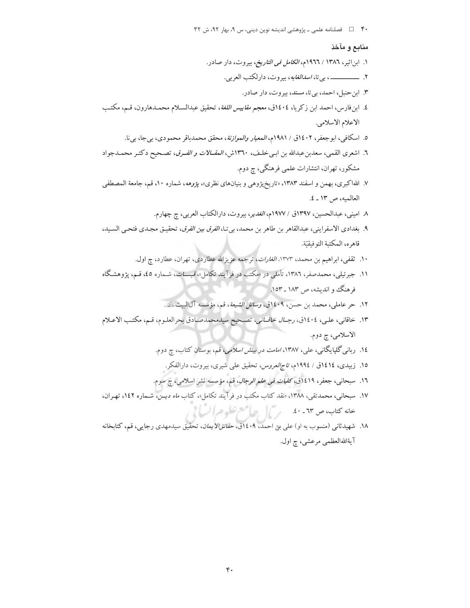۴۰ [ = فصلنامه علمی - پژوهشی اندیشه نوین دینی، س ۹، بهار ۹۲، ش ۳۲

## منابع و مآخذ

- ۱. ابناثیر، ۱۳۸٦ / ۱۹۶۲م، *الکامل فی التاریخ*، بیروت، دار صادر.
	- - ۳. ابن حنبل، احمد، بي تا، مسند، بيروت، دار صادر.
- ٤. ابنفارس، احمد ابن زكريا، ١٤٠٤ق، معجم *مقاييس اللغة*، تحقيق عبدالسـلام محمـدهارون، قـم، مكتـب الاعلام الاسلامي.
	- ٥. اسكافي، ابوجعفر، ١٤٠٢ق / ١٩٨١م، *المعيار والموازنة*، محقق محمدباقر محمودي، بيجا، بيi.
- ٦. اشعرى القمي، سعدبن عبدالله بن ابـي خلـف، ١٣٦٠ش، *المقــالات و الفـرق*، تصـحيح دكتـر محمـدجواد مشکور، تهران، انتشارات علمی فرهنگی، چ دوم.
- ۷. اللهاکبری، بهمن و اسفند ۱۳۸۳، «تاریخپژوهی و بنیانهای نظری»، *پژوهه*، شماره ۱۰، قم، جامعة المصطفى العالميه، ص ١٣ ـ ٤.
	- ۸ امینی، عبدالحسین، ۱۳۹۷ق / ۱۹۷۷م، *الغدیر*، بیروت، دارالکتاب العربی، چ چهارم.
- ٩. بغدادي الاسفرايني، عبدالقاهر بن طاهر بن محمد، بي تـا، *الفرق بين الفرق*، تحقيـق مجـدي فتحـي السـيد، قاهره، المكتبة التوفيقيّة.
	- ۱۰. ثقفی، ابراهیم بن محمد، ۱۳۷۳*، الغارات*، ترجمه عزیزالله عطاردی، تهران، عطارد، چ اول.
- ۱۱. جبرئیلی، محمدصفر، ۱۳۸۲، تأملی در «مکتب در فرآیند تکامل»، *فیســات*، شــماره ٤٥، قــم، یژوهشـگاه فرهنگ و اندیشه، ص ۱۸۳ ـ ۱۵۳.
	- ١٢. حر عاملي، محمد بن حسن، ١٤٠٩ق، *وسائل الشيعة*، قم، مؤسسه آلالبيت،ﷺ.
- ١٣. خاقاني، عليي، ١٤٠٤ق، رجـ*ـال خاقــاني*، تصـحيح سيدمحمدصـادق بحرالعلـوم، قـم، مكتـب الاعـلام الاسلامي، چ دوم.
	- ۱۶. ربانی گلپایگانی، علی، ۱۳۸۷، *امامت در بینش اسلامی*، قم، بوستان کتاب، چ دوم.
		- ۱۵. زبیدی، ۱۶۱٤ق / ۱۹۹٤م، *تاج(لعروس،* تحقیق علی شیری، بیروت، دارالفکر.
	- ١٦. سبحانی، جعفر، ١٩١٩ق، *كليات في علم الرجال*، قم، مؤسسه نشر اسلامی، چ سوم.
- ۱۷. سبحانی، محمدتقی، ۱۳۸۸، «نقد کتاب مکتب در فرآیند تکامل»، کتاب *ماه دیــن*، شــماره ۱٤۲، تهـران، خانه کتاب، ص ٦٣ - ٤٠ - س ] [ جهالههم تعلُّو عبرال) إ
- ۱۸. شهیدثانی (منسوب به او) علی بن احمد، ۱۶۰۹ق، *حقائقالایمان*، تحقیق سیدمهدی رجایی، قم، کتابخانه آيةاللهالعظمى مرعشى، چ اول.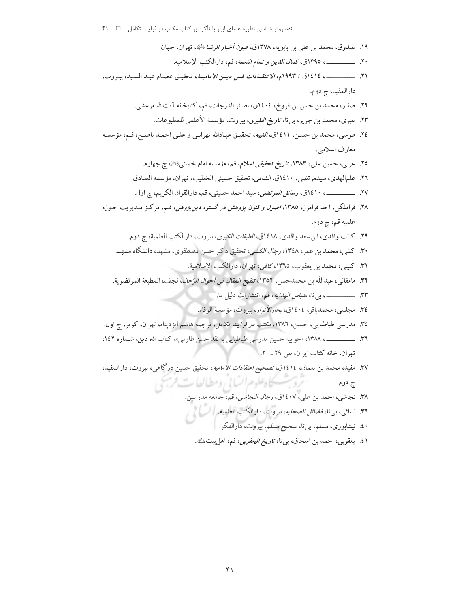- ١٩. صدوق، محمد بن علي بن بابويه، ١٣٧٨ق، *عيون أخبار الرضا* ﷺ، تهران، جهان. ٢١. \_\_\_\_\_\_\_\_\_، ١٤١٤ق / ١٩٩٣م، *الاعتقـادات فـي ديـن الاماميــة*، تحقيـق عصـام عبـد السـيد، بيـروت، دارالمفيد، چ دوم. ٢٢. صفار، محمد بن حسن بن فروخ، ١٤٠٤ق، بصائر الدرجات، قم، كتابخانه آيتالله مرعشي. ٢٣. طبري، محمد بن جرير، بي تا، *تاريخ الطبري*، بيروت، مؤسسة الأعلمي للمطبوعات. ٢٤. طوسى، محمد بن حسـن، ١٤١١ق، *الغيبه*، تحقيـق عبـادالله تهرانـي و علـي احمـد ناصـح، قـم، مؤسسـه معارف اسلامي. ٢٥. عربي، حسين علي، ١٣٨٣، *تاريخ تحقيقي اسلام*، قم، مؤسسه امام خمينيﷺ، چ چهارم. ٢٦. علمالهدي، سيدمر تضي، ١٤١٠ق، *الشافي*، تحقيق حسيني الخطيب، تهران، مؤسسه الصادق. ٢٧. \_\_\_\_\_\_\_\_\_\_ ١٤١٠ق، رسائل المرتضى، سيد احمد حسيني، قم، دارالقران الكريم، ج اول. ۲۸. قراملکی، احد فرامرز، ۱۳۸۵، *اصول و فنون پژوهش در گستره دین پژوهی*، قسم، مرکز مـدیریت حـوزه علميه قم، چ دوم. ٢٩. كاتب واقدي، ابن سعد واقدي، ١٤١٨ق، *الطبقات الكبرى*، بيروت، دارالكتب العلمية، ج دوم. ۳۰. كشي، محمد بن عمر، ۱۳٤۸، *رجال الكشي*، تحقيق دكتر حسن مصطفوي، مشهد، دانشگاه مشهد. ٣١. كليني، محمد بن يعقوب، ١٣٦٥، *كافي، تهران، دارالكتب الإسلامية.* ٣٢. مامقاني، عبداللّه بن محمدحسن، ١٣٥٢، تن*قيح المقال في أحوال الرّجال*، نجف، المطبعة المر تضوية. ٣٤. مجلسي، محمدباقر، ١٤٠٤ق، بحارالأن*وا*ر، بيروت، مؤسسة الوفاء. ۳۵. مدرسی طباطبایی، حسین، ۱۳۸۲، *مکتب در فرآیند تکامل*، ترجمه هاشم ایزدپناه، تهران، کویر، چ اول. تهران، خانه كتاب ايران، ص ٢٩ ـ ٢٠. ٣٧. مفيد، محمد بن نعمان، ١٤١٤ق، تصحيح اعتقادات الامامية، تحقيق حسين درگاهي، بيروت، دارالمفيد، تروسكاه علوم السابي ومطالعات فرسمي چ دوم. ٣٨. نجاشي، احمد بن علي، ١٤٠٧ق، رج*ال النجاشي*، قم، جامعه مدرسين. ٣٩. نسائى، بى تا، *فضائل الصحاب*ه، بيروت، دارالكتب العلميه. | السياطي الم
	- ۰£. نیشابوری، مسلم، بیتا، صحیح مس*لم*، بیروت، دارالفکر.
	- ٤١. يعقوبي، احمد بن اسحاق، بي تا، ت*اريخ اليعقوبي*، قم، اهل بيت <u>الله</u>ة.